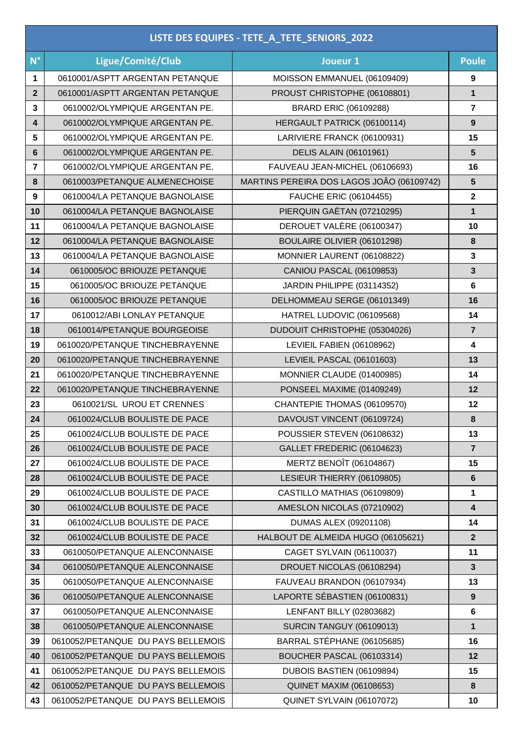| LISTE DES EQUIPES - TETE_A_TETE_SENIORS_2022 |                                    |                                           |                         |  |
|----------------------------------------------|------------------------------------|-------------------------------------------|-------------------------|--|
| $N^{\circ}$                                  | Ligue/Comité/Club                  | Joueur 1                                  | <b>Poule</b>            |  |
| 1                                            | 0610001/ASPTT ARGENTAN PETANQUE    | MOISSON EMMANUEL (06109409)               | 9                       |  |
| $\mathbf{2}$                                 | 0610001/ASPTT ARGENTAN PETANQUE    | PROUST CHRISTOPHE (06108801)              | $\mathbf{1}$            |  |
| 3                                            | 0610002/OLYMPIQUE ARGENTAN PE.     | <b>BRARD ERIC (06109288)</b>              | $\overline{7}$          |  |
| 4                                            | 0610002/OLYMPIQUE ARGENTAN PE.     | HERGAULT PATRICK (06100114)               | $\boldsymbol{9}$        |  |
| 5                                            | 0610002/OLYMPIQUE ARGENTAN PE.     | LARIVIERE FRANCK (06100931)               | 15                      |  |
| 6                                            | 0610002/OLYMPIQUE ARGENTAN PE.     | <b>DELIS ALAIN (06101961)</b>             | ${\bf 5}$               |  |
| $\overline{7}$                               | 0610002/OLYMPIQUE ARGENTAN PE.     | FAUVEAU JEAN-MICHEL (06106693)            | 16                      |  |
| 8                                            | 0610003/PETANQUE ALMENECHOISE      | MARTINS PEREIRA DOS LAGOS JOÂO (06109742) | 5                       |  |
| 9                                            | 0610004/LA PETANQUE BAGNOLAISE     | <b>FAUCHE ERIC (06104455)</b>             | $\overline{\mathbf{2}}$ |  |
| 10                                           | 0610004/LA PETANQUE BAGNOLAISE     | PIERQUIN GAËTAN (07210295)                | $\mathbf{1}$            |  |
| 11                                           | 0610004/LA PETANQUE BAGNOLAISE     | DEROUET VALÈRE (06100347)                 | 10                      |  |
| 12                                           | 0610004/LA PETANQUE BAGNOLAISE     | BOULAIRE OLIVIER (06101298)               | $\bf{8}$                |  |
| 13                                           | 0610004/LA PETANQUE BAGNOLAISE     | MONNIER LAURENT (06108822)                | $\mathbf 3$             |  |
| 14                                           | 0610005/OC BRIOUZE PETANQUE        | <b>CANIOU PASCAL (06109853)</b>           | $\overline{\mathbf{3}}$ |  |
| 15                                           | 0610005/OC BRIOUZE PETANQUE        | JARDIN PHILIPPE (03114352)                | $\bf 6$                 |  |
| 16                                           | 0610005/OC BRIOUZE PETANQUE        | DELHOMMEAU SERGE (06101349)               | 16                      |  |
| 17                                           | 0610012/ABI LONLAY PETANQUE        | HATREL LUDOVIC (06109568)                 | 14                      |  |
| 18                                           | 0610014/PETANQUE BOURGEOISE        | DUDOUIT CHRISTOPHE (05304026)             | $\overline{7}$          |  |
| 19                                           | 0610020/PETANQUE TINCHEBRAYENNE    | LEVIEIL FABIEN (06108962)                 | $\overline{\mathbf{4}}$ |  |
| 20                                           | 0610020/PETANQUE TINCHEBRAYENNE    | LEVIEIL PASCAL (06101603)                 | 13                      |  |
| 21                                           | 0610020/PETANQUE TINCHEBRAYENNE    | MONNIER CLAUDE (01400985)                 | 14                      |  |
| 22                                           | 0610020/PETANQUE TINCHEBRAYENNE    | PONSEEL MAXIME (01409249)                 | 12                      |  |
| 23                                           | 0610021/SL UROU ET CRENNES         | CHANTEPIE THOMAS (06109570)               | 12                      |  |
| 24                                           | 0610024/CLUB BOULISTE DE PACE      | DAVOUST VINCENT (06109724)                | 8                       |  |
| 25                                           | 0610024/CLUB BOULISTE DE PACE      | POUSSIER STEVEN (06108632)                | 13                      |  |
| 26                                           | 0610024/CLUB BOULISTE DE PACE      | GALLET FREDERIC (06104623)                | $\overline{7}$          |  |
| 27                                           | 0610024/CLUB BOULISTE DE PACE      | <b>MERTZ BENOÎT (06104867)</b>            | 15                      |  |
| 28                                           | 0610024/CLUB BOULISTE DE PACE      | LESIEUR THIERRY (06109805)                | 6                       |  |
| 29                                           | 0610024/CLUB BOULISTE DE PACE      | CASTILLO MATHIAS (06109809)               | 1                       |  |
| 30                                           | 0610024/CLUB BOULISTE DE PACE      | AMESLON NICOLAS (07210902)                | 4                       |  |
| 31                                           | 0610024/CLUB BOULISTE DE PACE      | <b>DUMAS ALEX (09201108)</b>              | 14                      |  |
| 32                                           | 0610024/CLUB BOULISTE DE PACE      | HALBOUT DE ALMEIDA HUGO (06105621)        | $\overline{2}$          |  |
| 33                                           | 0610050/PETANQUE ALENCONNAISE      | CAGET SYLVAIN (06110037)                  | 11                      |  |
| 34                                           | 0610050/PETANQUE ALENCONNAISE      | DROUET NICOLAS (06108294)                 | $\overline{\mathbf{3}}$ |  |
| 35                                           | 0610050/PETANQUE ALENCONNAISE      | FAUVEAU BRANDON (06107934)                | 13                      |  |
| 36                                           | 0610050/PETANQUE ALENCONNAISE      | LAPORTE SÉBASTIEN (06100831)              | $\boldsymbol{9}$        |  |
| 37                                           | 0610050/PETANQUE ALENCONNAISE      | LENFANT BILLY (02803682)                  | 6                       |  |
| 38                                           | 0610050/PETANQUE ALENCONNAISE      | <b>SURCIN TANGUY (06109013)</b>           | $\mathbf 1$             |  |
| 39                                           | 0610052/PETANQUE DU PAYS BELLEMOIS | BARRAL STÉPHANE (06105685)                | 16                      |  |
| 40                                           | 0610052/PETANQUE DU PAYS BELLEMOIS | BOUCHER PASCAL (06103314)                 | 12                      |  |
| 41                                           | 0610052/PETANQUE DU PAYS BELLEMOIS | DUBOIS BASTIEN (06109894)                 | 15                      |  |
| 42                                           | 0610052/PETANQUE DU PAYS BELLEMOIS | <b>QUINET MAXIM (06108653)</b>            | $\pmb{8}$               |  |
| 43                                           | 0610052/PETANQUE DU PAYS BELLEMOIS | QUINET SYLVAIN (06107072)                 | 10                      |  |